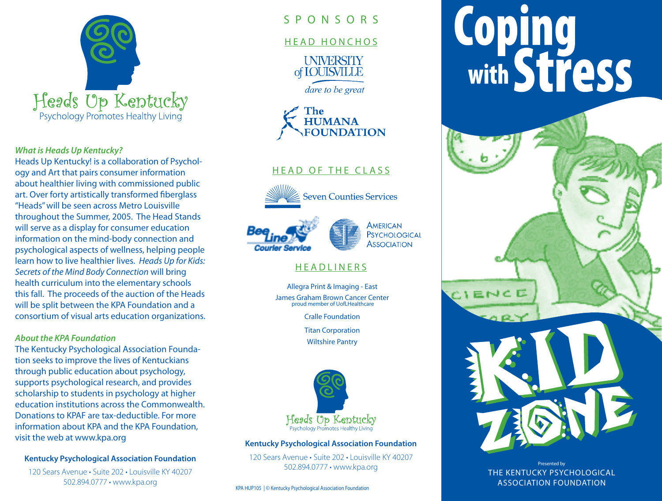

#### *What is Heads Up Kentucky?*

Heads Up Kentucky! is a collaboration of Psychology and Art that pairs consumer information about healthier living with commissioned public art. Over forty artistically transformed fiberglass "Heads" will be seen across Metro Louisville throughout the Summer, 2005. The Head Stands will serve as a display for consumer education information on the mind-body connection and psychological aspects of wellness, helping people learn how to live healthier lives. *Heads Up for Kids: Secrets of the Mind Body Connection* will bring health curriculum into the elementary schools this fall. The proceeds of the auction of the Heads will be split between the KPA Foundation and a consortium of visual arts education organizations.

#### *About the KPA Foundation*

The Kentucky Psychological Association Foundation seeks to improve the lives of Kentuckians through public education about psychology, supports psychological research, and provides scholarship to students in psychology at higher education institutions across the Commonwealth. Donations to KPAF are tax-deductible. For more information about KPA and the KPA Foundation, visit the web at www.kpa.org

#### **Kentucky Psychological Association Foundation**

120 Sears Avenue • Suite 202 • Louisville KY 40207 502.894.0777 • www.kpa.org

# S P O N S O R S

#### HEAD HONCHOS

**UNIVERSITY** of **IOUISVILLE** 

dare to be great



### HEAD OF THE CLASS







### **HEADLINERS**

Allegra Print & Imaging - East James Graham Brown Cancer Center proud member of UofLHealthcare

Cralle Foundation

Titan Corporation

Wiltshire Pantry



#### **Kentucky Psychological Association Foundation**

120 Sears Avenue • Suite 202 • Louisville KY 40207 502.894.0777 • www.kpa.org

KPA HUP105 | © Kentucky Psychological Association Foundation

# **Coping<br>with Stress**

Presented by THE KENTUCKY PSYCHOLOGICAL ASSOCIATION FOUNDATION

ENCE